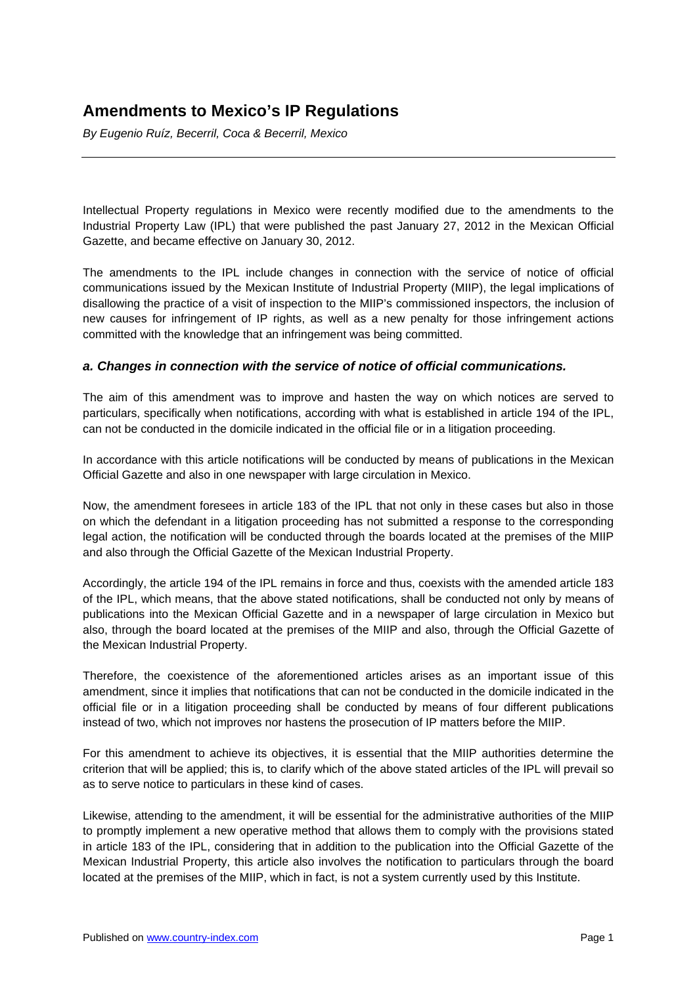# **Amendments to Mexico's IP Regulations**

*By Eugenio Ruíz, Becerril, Coca & Becerril, Mexico* 

Intellectual Property regulations in Mexico were recently modified due to the amendments to the Industrial Property Law (IPL) that were published the past January 27, 2012 in the Mexican Official Gazette, and became effective on January 30, 2012.

The amendments to the IPL include changes in connection with the service of notice of official communications issued by the Mexican Institute of Industrial Property (MIIP), the legal implications of disallowing the practice of a visit of inspection to the MIIP's commissioned inspectors, the inclusion of new causes for infringement of IP rights, as well as a new penalty for those infringement actions committed with the knowledge that an infringement was being committed.

# *a. Changes in connection with the service of notice of official communications.*

The aim of this amendment was to improve and hasten the way on which notices are served to particulars, specifically when notifications, according with what is established in article 194 of the IPL, can not be conducted in the domicile indicated in the official file or in a litigation proceeding.

In accordance with this article notifications will be conducted by means of publications in the Mexican Official Gazette and also in one newspaper with large circulation in Mexico.

Now, the amendment foresees in article 183 of the IPL that not only in these cases but also in those on which the defendant in a litigation proceeding has not submitted a response to the corresponding legal action, the notification will be conducted through the boards located at the premises of the MIIP and also through the Official Gazette of the Mexican Industrial Property.

Accordingly, the article 194 of the IPL remains in force and thus, coexists with the amended article 183 of the IPL, which means, that the above stated notifications, shall be conducted not only by means of publications into the Mexican Official Gazette and in a newspaper of large circulation in Mexico but also, through the board located at the premises of the MIIP and also, through the Official Gazette of the Mexican Industrial Property.

Therefore, the coexistence of the aforementioned articles arises as an important issue of this amendment, since it implies that notifications that can not be conducted in the domicile indicated in the official file or in a litigation proceeding shall be conducted by means of four different publications instead of two, which not improves nor hastens the prosecution of IP matters before the MIIP.

For this amendment to achieve its objectives, it is essential that the MIIP authorities determine the criterion that will be applied; this is, to clarify which of the above stated articles of the IPL will prevail so as to serve notice to particulars in these kind of cases.

Likewise, attending to the amendment, it will be essential for the administrative authorities of the MIIP to promptly implement a new operative method that allows them to comply with the provisions stated in article 183 of the IPL, considering that in addition to the publication into the Official Gazette of the Mexican Industrial Property, this article also involves the notification to particulars through the board located at the premises of the MIIP, which in fact, is not a system currently used by this Institute.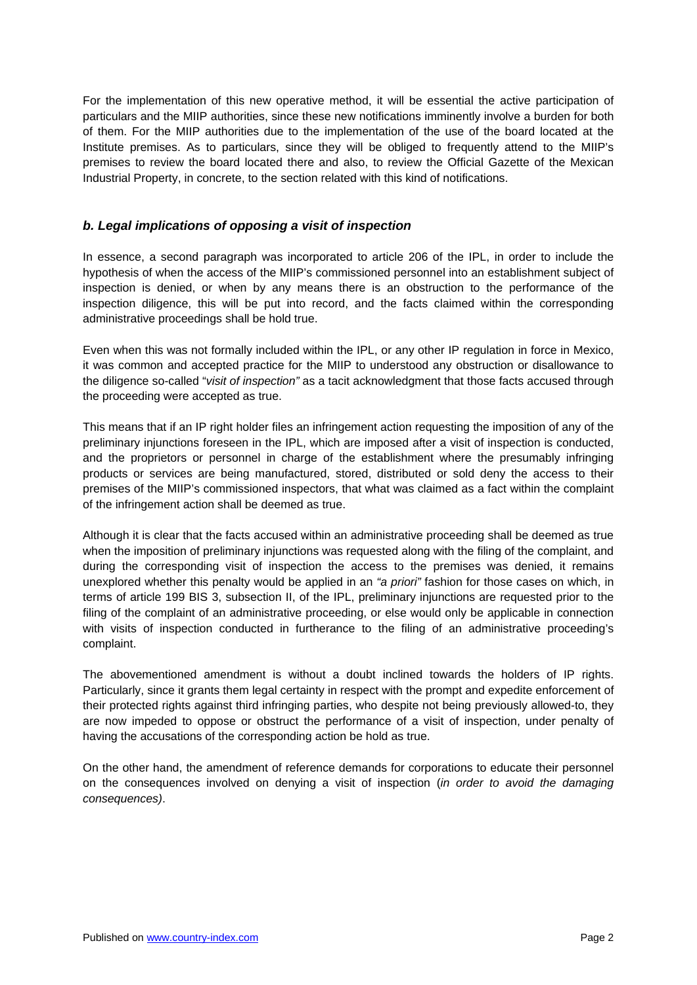For the implementation of this new operative method, it will be essential the active participation of particulars and the MIIP authorities, since these new notifications imminently involve a burden for both of them. For the MIIP authorities due to the implementation of the use of the board located at the Institute premises. As to particulars, since they will be obliged to frequently attend to the MIIP's premises to review the board located there and also, to review the Official Gazette of the Mexican Industrial Property, in concrete, to the section related with this kind of notifications.

## *b. Legal implications of opposing a visit of inspection*

In essence, a second paragraph was incorporated to article 206 of the IPL, in order to include the hypothesis of when the access of the MIIP's commissioned personnel into an establishment subject of inspection is denied, or when by any means there is an obstruction to the performance of the inspection diligence, this will be put into record, and the facts claimed within the corresponding administrative proceedings shall be hold true.

Even when this was not formally included within the IPL, or any other IP regulation in force in Mexico, it was common and accepted practice for the MIIP to understood any obstruction or disallowance to the diligence so-called "*visit of inspection"* as a tacit acknowledgment that those facts accused through the proceeding were accepted as true.

This means that if an IP right holder files an infringement action requesting the imposition of any of the preliminary injunctions foreseen in the IPL, which are imposed after a visit of inspection is conducted, and the proprietors or personnel in charge of the establishment where the presumably infringing products or services are being manufactured, stored, distributed or sold deny the access to their premises of the MIIP's commissioned inspectors, that what was claimed as a fact within the complaint of the infringement action shall be deemed as true.

Although it is clear that the facts accused within an administrative proceeding shall be deemed as true when the imposition of preliminary injunctions was requested along with the filing of the complaint, and during the corresponding visit of inspection the access to the premises was denied, it remains unexplored whether this penalty would be applied in an *"a priori"* fashion for those cases on which, in terms of article 199 BIS 3, subsection II, of the IPL, preliminary injunctions are requested prior to the filing of the complaint of an administrative proceeding, or else would only be applicable in connection with visits of inspection conducted in furtherance to the filing of an administrative proceeding's complaint.

The abovementioned amendment is without a doubt inclined towards the holders of IP rights. Particularly, since it grants them legal certainty in respect with the prompt and expedite enforcement of their protected rights against third infringing parties, who despite not being previously allowed-to, they are now impeded to oppose or obstruct the performance of a visit of inspection, under penalty of having the accusations of the corresponding action be hold as true.

On the other hand, the amendment of reference demands for corporations to educate their personnel on the consequences involved on denying a visit of inspection (*in order to avoid the damaging consequences)*.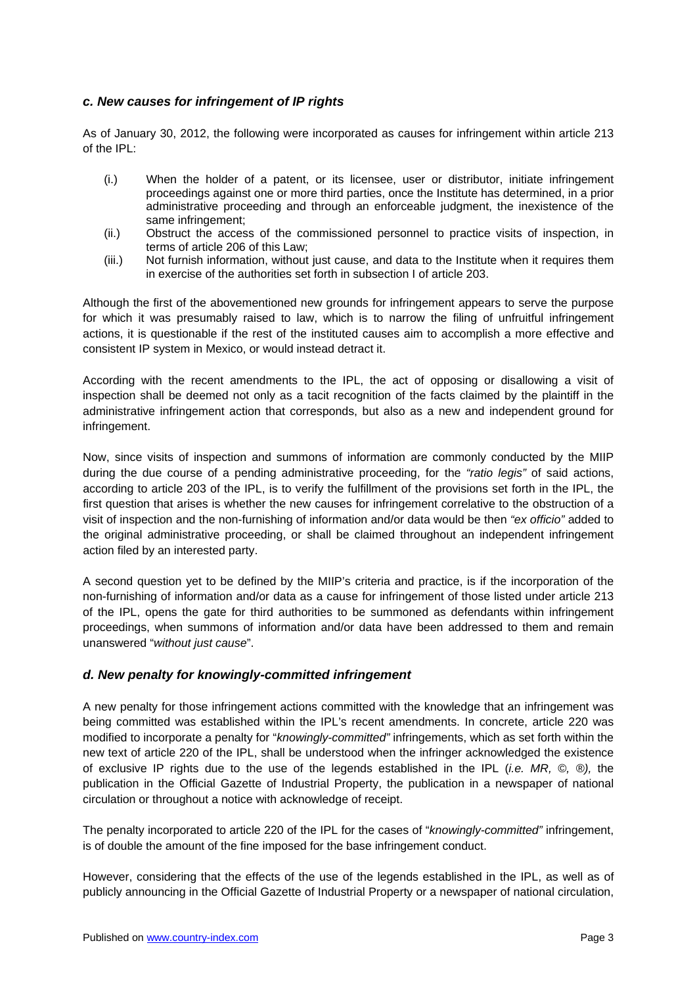# *c. New causes for infringement of IP rights*

As of January 30, 2012, the following were incorporated as causes for infringement within article 213 of the IPL:

- (i.) When the holder of a patent, or its licensee, user or distributor, initiate infringement proceedings against one or more third parties, once the Institute has determined, in a prior administrative proceeding and through an enforceable judgment, the inexistence of the same infringement;
- (ii.) Obstruct the access of the commissioned personnel to practice visits of inspection, in terms of article 206 of this Law;
- (iii.) Not furnish information, without just cause, and data to the Institute when it requires them in exercise of the authorities set forth in subsection I of article 203.

Although the first of the abovementioned new grounds for infringement appears to serve the purpose for which it was presumably raised to law, which is to narrow the filing of unfruitful infringement actions, it is questionable if the rest of the instituted causes aim to accomplish a more effective and consistent IP system in Mexico, or would instead detract it.

According with the recent amendments to the IPL, the act of opposing or disallowing a visit of inspection shall be deemed not only as a tacit recognition of the facts claimed by the plaintiff in the administrative infringement action that corresponds, but also as a new and independent ground for infringement.

Now, since visits of inspection and summons of information are commonly conducted by the MIIP during the due course of a pending administrative proceeding, for the *"ratio legis"* of said actions, according to article 203 of the IPL, is to verify the fulfillment of the provisions set forth in the IPL, the first question that arises is whether the new causes for infringement correlative to the obstruction of a visit of inspection and the non-furnishing of information and/or data would be then *"ex officio"* added to the original administrative proceeding, or shall be claimed throughout an independent infringement action filed by an interested party.

A second question yet to be defined by the MIIP's criteria and practice, is if the incorporation of the non-furnishing of information and/or data as a cause for infringement of those listed under article 213 of the IPL, opens the gate for third authorities to be summoned as defendants within infringement proceedings, when summons of information and/or data have been addressed to them and remain unanswered "*without just cause*".

### *d. New penalty for knowingly-committed infringement*

A new penalty for those infringement actions committed with the knowledge that an infringement was being committed was established within the IPL's recent amendments. In concrete, article 220 was modified to incorporate a penalty for "*knowingly-committed"* infringements, which as set forth within the new text of article 220 of the IPL, shall be understood when the infringer acknowledged the existence of exclusive IP rights due to the use of the legends established in the IPL (*i.e. MR, ©, ®),* the publication in the Official Gazette of Industrial Property, the publication in a newspaper of national circulation or throughout a notice with acknowledge of receipt.

The penalty incorporated to article 220 of the IPL for the cases of "*knowingly-committed"* infringement, is of double the amount of the fine imposed for the base infringement conduct.

However, considering that the effects of the use of the legends established in the IPL, as well as of publicly announcing in the Official Gazette of Industrial Property or a newspaper of national circulation,